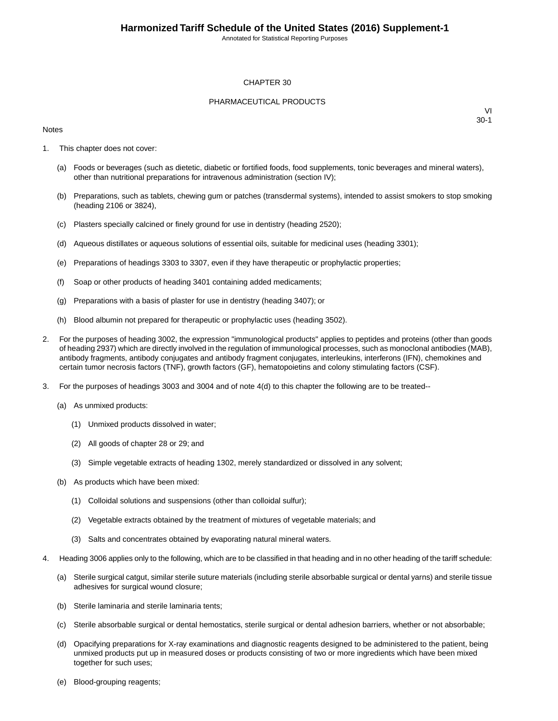Annotated for Statistical Reporting Purposes

#### CHAPTER 30

#### PHARMACEUTICAL PRODUCTS

#### Notes

- 1. This chapter does not cover:
	- (a) Foods or beverages (such as dietetic, diabetic or fortified foods, food supplements, tonic beverages and mineral waters), other than nutritional preparations for intravenous administration (section IV);
	- (b) Preparations, such as tablets, chewing gum or patches (transdermal systems), intended to assist smokers to stop smoking (heading 2106 or 3824),
	- (c) Plasters specially calcined or finely ground for use in dentistry (heading 2520);
	- (d) Aqueous distillates or aqueous solutions of essential oils, suitable for medicinal uses (heading 3301);
	- (e) Preparations of headings 3303 to 3307, even if they have therapeutic or prophylactic properties;
	- (f) Soap or other products of heading 3401 containing added medicaments;
	- (g) Preparations with a basis of plaster for use in dentistry (heading 3407); or
	- (h) Blood albumin not prepared for therapeutic or prophylactic uses (heading 3502).
- 2. For the purposes of heading 3002, the expression "immunological products" applies to peptides and proteins (other than goods of heading 2937) which are directly involved in the regulation of immunological processes, such as monoclonal antibodies (MAB), antibody fragments, antibody conjugates and antibody fragment conjugates, interleukins, interferons (IFN), chemokines and certain tumor necrosis factors (TNF), growth factors (GF), hematopoietins and colony stimulating factors (CSF).
- 3. For the purposes of headings 3003 and 3004 and of note 4(d) to this chapter the following are to be treated--
	- (a) As unmixed products:
		- (1) Unmixed products dissolved in water;
		- (2) All goods of chapter 28 or 29; and
		- (3) Simple vegetable extracts of heading 1302, merely standardized or dissolved in any solvent;
	- (b) As products which have been mixed:
		- (1) Colloidal solutions and suspensions (other than colloidal sulfur);
		- (2) Vegetable extracts obtained by the treatment of mixtures of vegetable materials; and
		- (3) Salts and concentrates obtained by evaporating natural mineral waters.
- 4. Heading 3006 applies only to the following, which are to be classified in that heading and in no other heading of the tariff schedule:
	- (a) Sterile surgical catgut, similar sterile suture materials (including sterile absorbable surgical or dental yarns) and sterile tissue adhesives for surgical wound closure;
	- (b) Sterile laminaria and sterile laminaria tents;
	- (c) Sterile absorbable surgical or dental hemostatics, sterile surgical or dental adhesion barriers, whether or not absorbable;
	- (d) Opacifying preparations for X-ray examinations and diagnostic reagents designed to be administered to the patient, being unmixed products put up in measured doses or products consisting of two or more ingredients which have been mixed together for such uses;
	- (e) Blood-grouping reagents;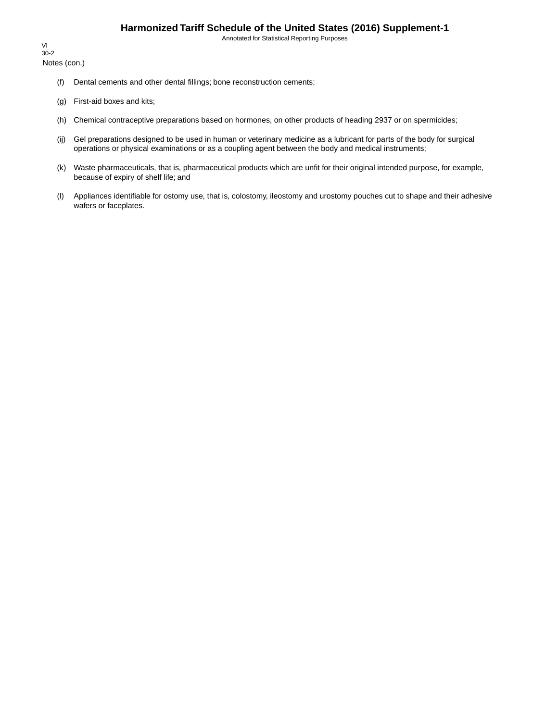Annotated for Statistical Reporting Purposes

Notes (con.) VI 30-2

- (f) Dental cements and other dental fillings; bone reconstruction cements;
- (g) First-aid boxes and kits;
- (h) Chemical contraceptive preparations based on hormones, on other products of heading 2937 or on spermicides;
- (ij) Gel preparations designed to be used in human or veterinary medicine as a lubricant for parts of the body for surgical operations or physical examinations or as a coupling agent between the body and medical instruments;
- (k) Waste pharmaceuticals, that is, pharmaceutical products which are unfit for their original intended purpose, for example, because of expiry of shelf life; and
- (l) Appliances identifiable for ostomy use, that is, colostomy, ileostomy and urostomy pouches cut to shape and their adhesive wafers or faceplates.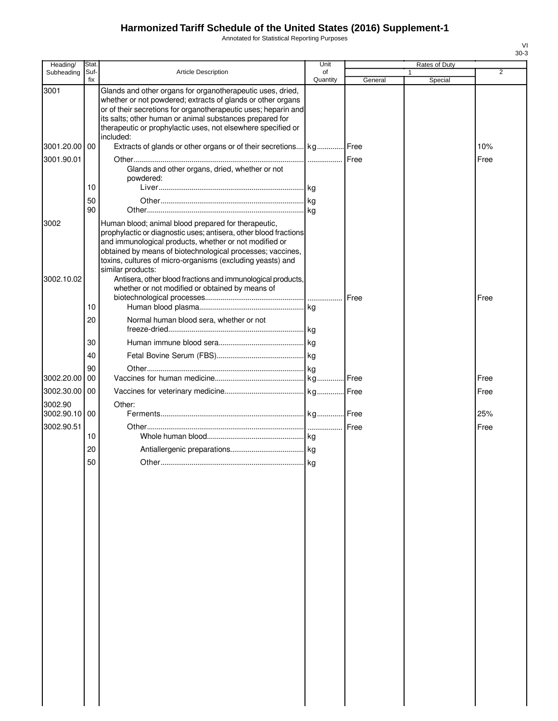Annotated for Statistical Reporting Purposes

| Heading/                 | Stat.       |                                                                                                                                                                                                                                                                                                                                      | Unit           |         | Rates of Duty |      |
|--------------------------|-------------|--------------------------------------------------------------------------------------------------------------------------------------------------------------------------------------------------------------------------------------------------------------------------------------------------------------------------------------|----------------|---------|---------------|------|
| Subheading               | Suf-<br>fix | Article Description                                                                                                                                                                                                                                                                                                                  | οf<br>Quantity | General | 1<br>Special  | 2    |
| 3001                     |             | Glands and other organs for organotherapeutic uses, dried,<br>whether or not powdered; extracts of glands or other organs<br>or of their secretions for organotherapeutic uses; heparin and<br>its salts; other human or animal substances prepared for<br>therapeutic or prophylactic uses, not elsewhere specified or<br>included: |                |         |               |      |
| 3001.20.00 00            |             | Extracts of glands or other organs or of their secretions kg Free                                                                                                                                                                                                                                                                    |                |         |               | 10%  |
| 3001.90.01               |             | Glands and other organs, dried, whether or not<br>powdered:                                                                                                                                                                                                                                                                          |                |         |               | Free |
|                          | 10          |                                                                                                                                                                                                                                                                                                                                      |                |         |               |      |
|                          | 50<br>90    |                                                                                                                                                                                                                                                                                                                                      |                |         |               |      |
| 3002<br>3002.10.02       |             | Human blood; animal blood prepared for therapeutic,<br>prophylactic or diagnostic uses; antisera, other blood fractions<br>and immunological products, whether or not modified or<br>obtained by means of biotechnological processes; vaccines,<br>toxins, cultures of micro-organisms (excluding yeasts) and<br>similar products:   |                |         |               |      |
|                          |             | Antisera, other blood fractions and immunological products,<br>whether or not modified or obtained by means of                                                                                                                                                                                                                       |                |         |               |      |
|                          |             |                                                                                                                                                                                                                                                                                                                                      |                |         |               | Free |
|                          | 10<br>20    | Normal human blood sera, whether or not                                                                                                                                                                                                                                                                                              |                |         |               |      |
|                          |             |                                                                                                                                                                                                                                                                                                                                      |                |         |               |      |
|                          | 30          |                                                                                                                                                                                                                                                                                                                                      |                |         |               |      |
|                          | 40          |                                                                                                                                                                                                                                                                                                                                      |                |         |               |      |
| 3002.20.00               | 90<br>00    |                                                                                                                                                                                                                                                                                                                                      |                |         |               | Free |
| 3002.30.00 00            |             |                                                                                                                                                                                                                                                                                                                                      |                |         |               | Free |
|                          |             |                                                                                                                                                                                                                                                                                                                                      |                |         |               |      |
| 3002.90<br>3002.90.10 00 |             | Other:                                                                                                                                                                                                                                                                                                                               |                |         |               | 25%  |
| 3002.90.51               |             |                                                                                                                                                                                                                                                                                                                                      |                |         |               | Free |
|                          | 10          |                                                                                                                                                                                                                                                                                                                                      |                |         |               |      |
|                          | 20          |                                                                                                                                                                                                                                                                                                                                      |                |         |               |      |
|                          | 50          |                                                                                                                                                                                                                                                                                                                                      |                |         |               |      |
|                          |             |                                                                                                                                                                                                                                                                                                                                      |                |         |               |      |
|                          |             |                                                                                                                                                                                                                                                                                                                                      |                |         |               |      |
|                          |             |                                                                                                                                                                                                                                                                                                                                      |                |         |               |      |
|                          |             |                                                                                                                                                                                                                                                                                                                                      |                |         |               |      |
|                          |             |                                                                                                                                                                                                                                                                                                                                      |                |         |               |      |
|                          |             |                                                                                                                                                                                                                                                                                                                                      |                |         |               |      |
|                          |             |                                                                                                                                                                                                                                                                                                                                      |                |         |               |      |
|                          |             |                                                                                                                                                                                                                                                                                                                                      |                |         |               |      |
|                          |             |                                                                                                                                                                                                                                                                                                                                      |                |         |               |      |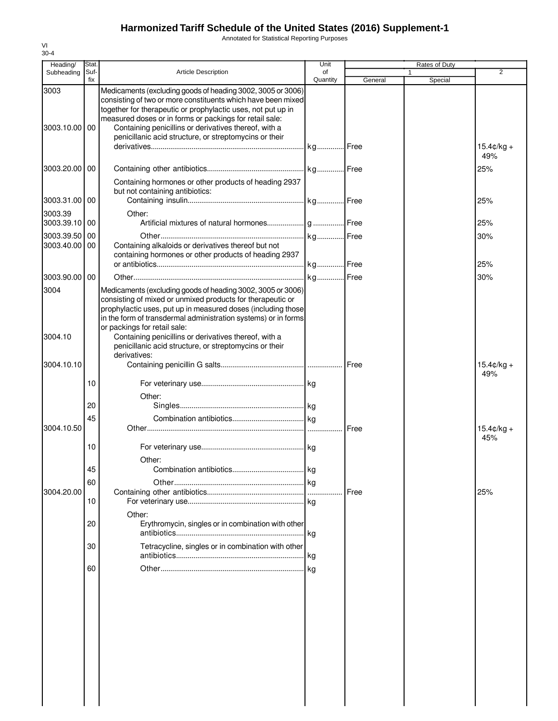Annotated for Statistical Reporting Purposes

| Heading/              | Stat |                                                                                                                                                                                                                                                                                                                 | Unit     |               | Rates of Duty |                             |
|-----------------------|------|-----------------------------------------------------------------------------------------------------------------------------------------------------------------------------------------------------------------------------------------------------------------------------------------------------------------|----------|---------------|---------------|-----------------------------|
| Subheading            | Suf- | <b>Article Description</b>                                                                                                                                                                                                                                                                                      | of       |               |               | $\overline{2}$              |
|                       | fix  |                                                                                                                                                                                                                                                                                                                 | Quantity | General       | Special       |                             |
| 3003<br>3003.10.00 00 |      | Medicaments (excluding goods of heading 3002, 3005 or 3006)<br>consisting of two or more constituents which have been mixed<br>together for therapeutic or prophylactic uses, not put up in<br>measured doses or in forms or packings for retail sale:<br>Containing penicillins or derivatives thereof, with a |          |               |               |                             |
|                       |      | penicillanic acid structure, or streptomycins or their                                                                                                                                                                                                                                                          |          |               |               | $15.4 \text{C/kg} +$<br>49% |
| 3003.20.00            | 00   | Containing hormones or other products of heading 2937                                                                                                                                                                                                                                                           |          |               |               | 25%                         |
| 3003.31.00            | 00   | but not containing antibiotics:                                                                                                                                                                                                                                                                                 |          |               |               | 25%                         |
| 3003.39               |      | Other:                                                                                                                                                                                                                                                                                                          |          |               |               |                             |
| 3003.39.10            | 00   |                                                                                                                                                                                                                                                                                                                 |          |               |               | 25%                         |
| 3003.39.50            | 00   |                                                                                                                                                                                                                                                                                                                 |          |               |               | 30%                         |
| 3003.40.00            | 00   | Containing alkaloids or derivatives thereof but not<br>containing hormones or other products of heading 2937                                                                                                                                                                                                    |          |               |               |                             |
|                       |      |                                                                                                                                                                                                                                                                                                                 |          |               |               | 25%                         |
| 3003.90.00            | 00   |                                                                                                                                                                                                                                                                                                                 |          |               |               | 30%                         |
| 3004                  |      | Medicaments (excluding goods of heading 3002, 3005 or 3006)<br>consisting of mixed or unmixed products for therapeutic or<br>prophylactic uses, put up in measured doses (including those                                                                                                                       |          |               |               |                             |
| 3004.10               |      | in the form of transdermal administration systems) or in forms<br>or packings for retail sale:<br>Containing penicillins or derivatives thereof, with a                                                                                                                                                         |          |               |               |                             |
|                       |      | penicillanic acid structure, or streptomycins or their<br>derivatives:                                                                                                                                                                                                                                          |          |               |               |                             |
| 3004.10.10            |      |                                                                                                                                                                                                                                                                                                                 |          |               |               | $15.4 \text{C/kg} +$<br>49% |
|                       | 10   | Other:                                                                                                                                                                                                                                                                                                          |          |               |               |                             |
|                       | 20   |                                                                                                                                                                                                                                                                                                                 |          |               |               |                             |
| 3004.10.50            | 45   |                                                                                                                                                                                                                                                                                                                 |          | <b>I</b> Free |               | $15.4 \text{C/kg} +$<br>45% |
|                       | 10   | Other:                                                                                                                                                                                                                                                                                                          |          |               |               |                             |
|                       | 45   |                                                                                                                                                                                                                                                                                                                 |          |               |               |                             |
|                       | 60   |                                                                                                                                                                                                                                                                                                                 |          |               |               |                             |
| 3004.20.00            |      |                                                                                                                                                                                                                                                                                                                 |          | <b>I</b> Free |               | 25%                         |
|                       | 10   | Other:                                                                                                                                                                                                                                                                                                          |          |               |               |                             |
|                       | 20   | Erythromycin, singles or in combination with other                                                                                                                                                                                                                                                              | .lkg     |               |               |                             |
|                       | 30   | Tetracycline, singles or in combination with other                                                                                                                                                                                                                                                              |          |               |               |                             |
|                       | 60   |                                                                                                                                                                                                                                                                                                                 |          |               |               |                             |
|                       |      |                                                                                                                                                                                                                                                                                                                 |          |               |               |                             |
|                       |      |                                                                                                                                                                                                                                                                                                                 |          |               |               |                             |
|                       |      |                                                                                                                                                                                                                                                                                                                 |          |               |               |                             |
|                       |      |                                                                                                                                                                                                                                                                                                                 |          |               |               |                             |
|                       |      |                                                                                                                                                                                                                                                                                                                 |          |               |               |                             |
|                       |      |                                                                                                                                                                                                                                                                                                                 |          |               |               |                             |
|                       |      |                                                                                                                                                                                                                                                                                                                 |          |               |               |                             |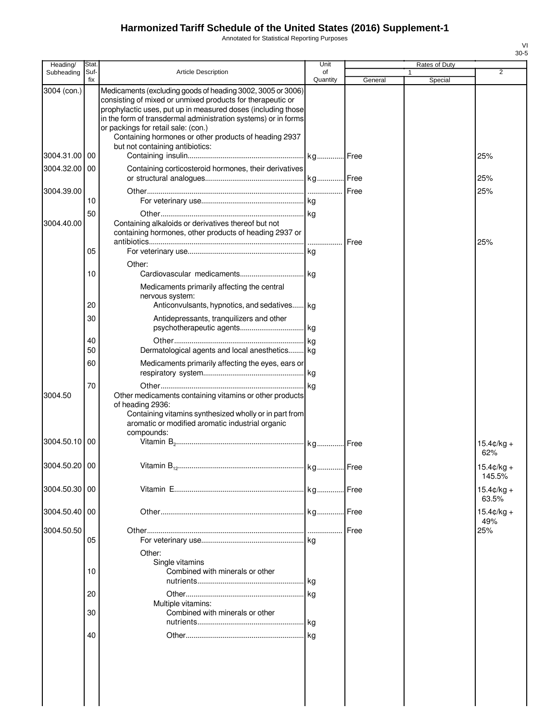Annotated for Statistical Reporting Purposes

| Heading/      | Stat.       |                                                                                                                                                                                                                                                                                                                                                                                                | Unit           |             | Rates of Duty |                             |
|---------------|-------------|------------------------------------------------------------------------------------------------------------------------------------------------------------------------------------------------------------------------------------------------------------------------------------------------------------------------------------------------------------------------------------------------|----------------|-------------|---------------|-----------------------------|
| Subheading    | Suf-<br>fix | <b>Article Description</b>                                                                                                                                                                                                                                                                                                                                                                     | of<br>Quantity | General     | 1<br>Special  | $\overline{2}$              |
| 3004 (con.)   |             | Medicaments (excluding goods of heading 3002, 3005 or 3006)<br>consisting of mixed or unmixed products for therapeutic or<br>prophylactic uses, put up in measured doses (including those<br>in the form of transdermal administration systems) or in forms<br>or packings for retail sale: (con.)<br>Containing hormones or other products of heading 2937<br>but not containing antibiotics: |                |             |               |                             |
| 3004.31.00 00 |             |                                                                                                                                                                                                                                                                                                                                                                                                |                |             |               | 25%                         |
| 3004.32.00 00 |             | Containing corticosteroid hormones, their derivatives                                                                                                                                                                                                                                                                                                                                          |                |             |               | 25%                         |
| 3004.39.00    | 10          |                                                                                                                                                                                                                                                                                                                                                                                                |                |             |               | 25%                         |
|               | 50          |                                                                                                                                                                                                                                                                                                                                                                                                |                |             |               |                             |
| 3004.40.00    |             | Containing alkaloids or derivatives thereof but not<br>containing hormones, other products of heading 2937 or                                                                                                                                                                                                                                                                                  | .              | <b>Free</b> |               | 25%                         |
|               | 05          |                                                                                                                                                                                                                                                                                                                                                                                                |                |             |               |                             |
|               | 10          | Other:                                                                                                                                                                                                                                                                                                                                                                                         |                |             |               |                             |
|               | 20          | Medicaments primarily affecting the central<br>nervous system:                                                                                                                                                                                                                                                                                                                                 |                |             |               |                             |
|               | 30          | Anticonvulsants, hypnotics, and sedatives kg<br>Antidepressants, tranquilizers and other                                                                                                                                                                                                                                                                                                       |                |             |               |                             |
|               |             |                                                                                                                                                                                                                                                                                                                                                                                                |                |             |               |                             |
|               | 40          |                                                                                                                                                                                                                                                                                                                                                                                                |                |             |               |                             |
|               | 50          | Dermatological agents and local anesthetics kg                                                                                                                                                                                                                                                                                                                                                 |                |             |               |                             |
|               | 60          | Medicaments primarily affecting the eyes, ears or                                                                                                                                                                                                                                                                                                                                              |                |             |               |                             |
| 3004.50       | 70          | Other medicaments containing vitamins or other products<br>of heading 2936:<br>Containing vitamins synthesized wholly or in part from<br>aromatic or modified aromatic industrial organic<br>compounds:                                                                                                                                                                                        |                |             |               |                             |
| 3004.50.10 00 |             |                                                                                                                                                                                                                                                                                                                                                                                                |                |             |               | $15.4c/kq +$<br>62%         |
| 3004.50.20 00 |             | Vitamin B.                                                                                                                                                                                                                                                                                                                                                                                     | kg Free        |             |               | $15.4$ ¢/kg +<br>145.5%     |
| 3004.50.30 00 |             |                                                                                                                                                                                                                                                                                                                                                                                                |                |             |               | $15.4¢/kg +$<br>63.5%       |
| 3004.50.40 00 |             |                                                                                                                                                                                                                                                                                                                                                                                                |                |             |               | $15.4 \text{c/kg} +$<br>49% |
| 3004.50.50    | 05          | Other:                                                                                                                                                                                                                                                                                                                                                                                         |                |             |               | 25%                         |
|               | 10          | Single vitamins<br>Combined with minerals or other                                                                                                                                                                                                                                                                                                                                             |                |             |               |                             |
|               | 20          |                                                                                                                                                                                                                                                                                                                                                                                                |                |             |               |                             |
|               | 30          | Multiple vitamins:<br>Combined with minerals or other                                                                                                                                                                                                                                                                                                                                          |                |             |               |                             |
|               |             |                                                                                                                                                                                                                                                                                                                                                                                                |                |             |               |                             |
|               | 40          |                                                                                                                                                                                                                                                                                                                                                                                                |                |             |               |                             |
|               |             |                                                                                                                                                                                                                                                                                                                                                                                                |                |             |               |                             |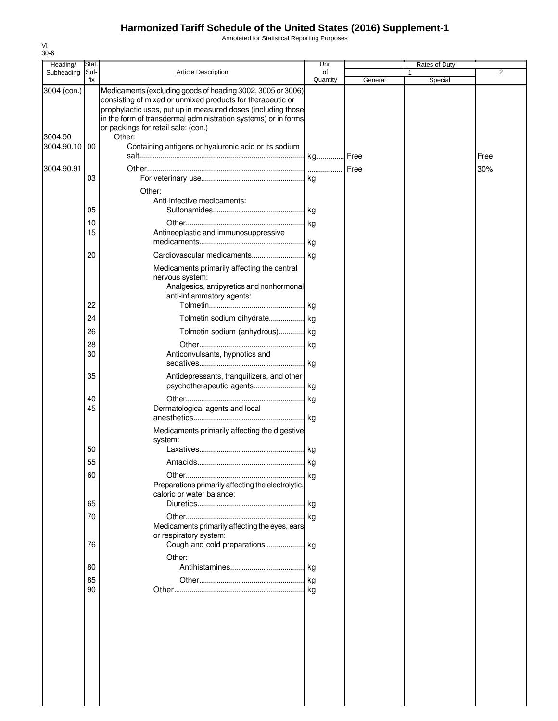Annotated for Statistical Reporting Purposes

| Heading/              | Stat.       |                                                                                                                                                                                                                                                                                                    | Unit           |         | Rates of Duty |                |
|-----------------------|-------------|----------------------------------------------------------------------------------------------------------------------------------------------------------------------------------------------------------------------------------------------------------------------------------------------------|----------------|---------|---------------|----------------|
| Subheading            | Suf-<br>fix | <b>Article Description</b>                                                                                                                                                                                                                                                                         | of<br>Quantity | General | Special       | $\overline{2}$ |
| 3004 (con.)           |             | Medicaments (excluding goods of heading 3002, 3005 or 3006)<br>consisting of mixed or unmixed products for therapeutic or<br>prophylactic uses, put up in measured doses (including those<br>in the form of transdermal administration systems) or in forms<br>or packings for retail sale: (con.) |                |         |               |                |
| 3004.90<br>3004.90.10 | 00          | Other:<br>Containing antigens or hyaluronic acid or its sodium                                                                                                                                                                                                                                     |                |         |               |                |
| 3004.90.91            |             |                                                                                                                                                                                                                                                                                                    |                |         |               | Free<br>30%    |
|                       | 03          |                                                                                                                                                                                                                                                                                                    |                |         |               |                |
|                       |             | Other:                                                                                                                                                                                                                                                                                             |                |         |               |                |
|                       | 05          | Anti-infective medicaments:                                                                                                                                                                                                                                                                        |                |         |               |                |
|                       | 10          |                                                                                                                                                                                                                                                                                                    |                |         |               |                |
|                       | 15          | Antineoplastic and immunosuppressive                                                                                                                                                                                                                                                               |                |         |               |                |
|                       |             |                                                                                                                                                                                                                                                                                                    | <b>kg</b>      |         |               |                |
|                       | 20          | Cardiovascular medicaments                                                                                                                                                                                                                                                                         | kg             |         |               |                |
|                       | 22          | Medicaments primarily affecting the central<br>nervous system:<br>Analgesics, antipyretics and nonhormonal<br>anti-inflammatory agents:                                                                                                                                                            |                |         |               |                |
|                       | 24          |                                                                                                                                                                                                                                                                                                    |                |         |               |                |
|                       | 26          | Tolmetin sodium (anhydrous) kg                                                                                                                                                                                                                                                                     |                |         |               |                |
|                       | 28          |                                                                                                                                                                                                                                                                                                    | kg             |         |               |                |
|                       | 30          | Anticonvulsants, hypnotics and                                                                                                                                                                                                                                                                     |                |         |               |                |
|                       |             |                                                                                                                                                                                                                                                                                                    |                |         |               |                |
|                       | 35          | Antidepressants, tranquilizers, and other<br>psychotherapeutic agents                                                                                                                                                                                                                              | .lkg           |         |               |                |
|                       | 40          |                                                                                                                                                                                                                                                                                                    |                |         |               |                |
|                       | 45          | Dermatological agents and local                                                                                                                                                                                                                                                                    |                |         |               |                |
|                       |             | Medicaments primarily affecting the digestive<br>system:                                                                                                                                                                                                                                           |                |         |               |                |
|                       | 50          |                                                                                                                                                                                                                                                                                                    |                |         |               |                |
|                       | 55          |                                                                                                                                                                                                                                                                                                    |                |         |               |                |
|                       | 60          | Preparations primarily affecting the electrolytic,<br>caloric or water balance:                                                                                                                                                                                                                    | kg             |         |               |                |
|                       | 65          |                                                                                                                                                                                                                                                                                                    | l kg           |         |               |                |
|                       | 70          |                                                                                                                                                                                                                                                                                                    |                |         |               |                |
|                       | 76          | Medicaments primarily affecting the eyes, ears<br>or respiratory system:                                                                                                                                                                                                                           |                |         |               |                |
|                       |             | Other:                                                                                                                                                                                                                                                                                             |                |         |               |                |
|                       | 80          |                                                                                                                                                                                                                                                                                                    |                |         |               |                |
|                       | 85<br>90    |                                                                                                                                                                                                                                                                                                    | kg             |         |               |                |
|                       |             |                                                                                                                                                                                                                                                                                                    |                |         |               |                |
|                       |             |                                                                                                                                                                                                                                                                                                    |                |         |               |                |
|                       |             |                                                                                                                                                                                                                                                                                                    |                |         |               |                |
|                       |             |                                                                                                                                                                                                                                                                                                    |                |         |               |                |